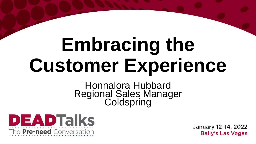# **Embracing the Customer Experience**

#### Honnalora Hubbard Regional Sales Manager **Coldspring**

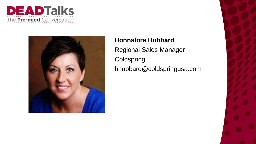



#### **Honnalora Hubbard**

Regional Sales Manager **Coldspring** hhubbard@coldspringusa.com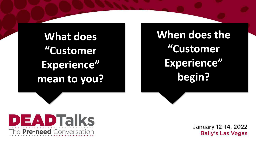**What does "Customer Experience" mean to you?**

**EADTalks** 

The Pre-need Conversation

**When does the "Customer Experience" begin?**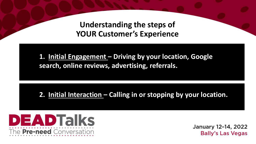**Understanding the steps of YOUR Customer's Experience**

**1. Initial Engagement – Driving by your location, Google search, online reviews, advertising, referrals.**

**2. Initial Interaction – Calling in or stopping by your location.**

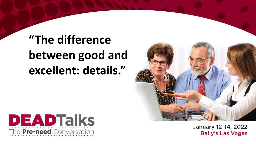## **"The difference between good and excellent: details."**



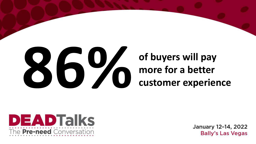

### **of buyers will pay more for a better customer experience**

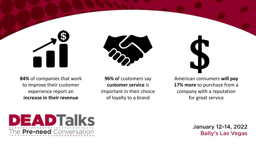



**84%** of companies that work to improve their customer experience report an **increase in their revenue**

**96% o**f customers say **customer service** is important in their choice of loyalty to a brand

American consumers **will pay 17% more** to purchase from a company with a reputation for great service \$

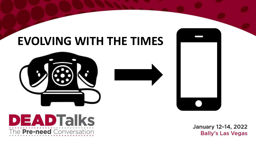## **EVOLVING WITH THE TIMES**



**ADTalks** 

The Pre-need Conversation

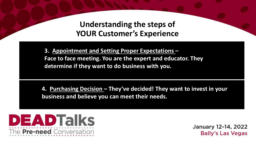**Understanding the steps of YOUR Customer's Experience**

**3. Appointment and Setting Proper Expectations – Face to face meeting. You are the expert and educator. They determine if they want to do business with you.**

**4. Purchasing Decision – They've decided! They want to invest in your business and believe you can meet their needs.**

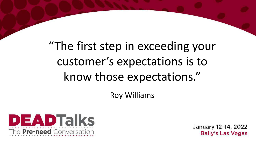## "The first step in exceeding your customer's expectations is to know those expectations."

Roy Williams

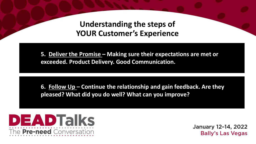**Understanding the steps of YOUR Customer's Experience**

**5. Deliver the Promise – Making sure their expectations are met or exceeded. Product Delivery. Good Communication.**

**6. Follow Up – Continue the relationship and gain feedback. Are they pleased? What did you do well? What can you improve?**

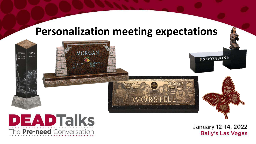### **Personalization meeting expectations**

WORSTELL

**MORGAN** 

CARL W<br>1930-

NANCY E.



 $T = C H \Delta I$ 

APR 16, 192

RICHARD F

DEC. 12 1927<br>MAR. 7. 2007

January 12-14, 2022 **Bally's Las Vegas** 

**OSIMONSON®**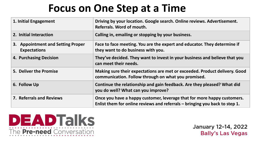## **Focus on One Step at a Time**

| 1. Initial Engagement                                    | Driving by your location. Google search. Online reviews. Advertisement.<br>Referrals. Word of mouth.                                                     |
|----------------------------------------------------------|----------------------------------------------------------------------------------------------------------------------------------------------------------|
| 2. Initial Interaction                                   | Calling in, emailing or stopping by your business.                                                                                                       |
| 3. Appointment and Setting Proper<br><b>Expectations</b> | Face to face meeting. You are the expert and educator. They determine if<br>they want to do business with you.                                           |
| 4. Purchasing Decision                                   | They've decided. They want to invest in your business and believe that you<br>can meet their needs.                                                      |
| 5. Deliver the Promise                                   | Making sure their expectations are met or exceeded. Product delivery. Good<br>communication. Follow through on what you promised.                        |
| 6. Follow Up                                             | Continue the relationship and gain feedback. Are they pleased? What did<br>you do well? What can you improve?                                            |
| <b>7. Referrals and Reviews</b>                          | Once you have a happy customer, leverage that for more happy customers.<br>Enlist them for online reviews and referrals $-$ bringing you back to step 1. |